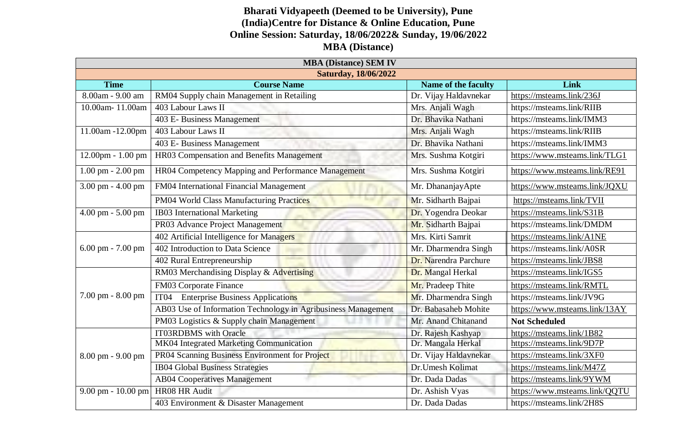## **Bharati Vidyapeeth (Deemed to be University), Pune (India)Centre for Distance & Online Education, Pune Online Session: Saturday, 18/06/2022& Sunday, 19/06/2022 MBA (Distance)**

| <b>MBA (Distance) SEM IV</b> |                                                               |                       |                               |  |  |
|------------------------------|---------------------------------------------------------------|-----------------------|-------------------------------|--|--|
| <b>Saturday, 18/06/2022</b>  |                                                               |                       |                               |  |  |
| <b>Time</b>                  | <b>Course Name</b>                                            | Name of the faculty   | Link                          |  |  |
| 8.00am - 9.00 am             | RM04 Supply chain Management in Retailing                     | Dr. Vijay Haldavnekar | https://msteams.link/236J     |  |  |
| 10.00am-11.00am              | 403 Labour Laws II                                            | Mrs. Anjali Wagh      | https://msteams.link/RIIB     |  |  |
|                              | 403 E- Business Management                                    | Dr. Bhavika Nathani   | https://msteams.link/IMM3     |  |  |
| 11.00am -12.00pm             | 403 Labour Laws II                                            | Mrs. Anjali Wagh      | https://msteams.link/RIIB     |  |  |
|                              | 403 E- Business Management                                    | Dr. Bhavika Nathani   | https://msteams.link/IMM3     |  |  |
| 12.00pm - 1.00 pm            | HR03 Compensation and Benefits Management                     | Mrs. Sushma Kotgiri   | https://www.msteams.link/TLG1 |  |  |
| $1.00$ pm - $2.00$ pm        | HR04 Competency Mapping and Performance Management            | Mrs. Sushma Kotgiri   | https://www.msteams.link/RE91 |  |  |
| 3.00 pm - 4.00 pm            | FM04 International Financial Management                       | Mr. DhananjayApte     | https://www.msteams.link/JQXU |  |  |
|                              | PM04 World Class Manufacturing Practices                      | Mr. Sidharth Bajpai   | https://msteams.link/TVII     |  |  |
| 4.00 pm - 5.00 pm            | IB03 International Marketing                                  | Dr. Yogendra Deokar   | https://msteams.link/S31B     |  |  |
|                              | PR03 Advance Project Management                               | Mr. Sidharth Bajpai   | https://msteams.link/DMDM     |  |  |
| $6.00$ pm - $7.00$ pm        | 402 Artificial Intelligence for Managers                      | Mrs. Kirti Samrit     | https://msteams.link/A1NE     |  |  |
|                              | 402 Introduction to Data Science                              | Mr. Dharmendra Singh  | https://msteams.link/A0SR     |  |  |
|                              | 402 Rural Entrepreneurship                                    | Dr. Narendra Parchure | https://msteams.link/JBS8     |  |  |
| 7.00 pm - 8.00 pm            | RM03 Merchandising Display & Advertising                      | Dr. Mangal Herkal     | https://msteams.link/IGS5     |  |  |
|                              | FM03 Corporate Finance                                        | Mr. Pradeep Thite     | https://msteams.link/RMTL     |  |  |
|                              | IT <sub>04</sub><br><b>Enterprise Business Applications</b>   | Mr. Dharmendra Singh  | https://msteams.link/JV9G     |  |  |
|                              | AB03 Use of Information Technology in Agribusiness Management | Dr. Babasaheb Mohite  | https://www.msteams.link/13AY |  |  |
|                              | PM03 Logistics & Supply chain Management                      | Mr. Anand Chitanand   | <b>Not Scheduled</b>          |  |  |
| 8.00 pm - 9.00 pm            | <b>IT03RDBMS</b> with Oracle                                  | Dr. Rajesh Kashyap    | https://msteams.link/1B82     |  |  |
|                              | MK04 Integrated Marketing Communication                       | Dr. Mangala Herkal    | https://msteams.link/9D7P     |  |  |
|                              | PR04 Scanning Business Environment for Project                | Dr. Vijay Haldavnekar | https://msteams.link/3XF0     |  |  |
|                              | <b>IB04 Global Business Strategies</b>                        | Dr.Umesh Kolimat      | https://msteams.link/M47Z     |  |  |
|                              | <b>AB04 Cooperatives Management</b>                           | Dr. Dada Dadas        | https://msteams.link/9YWM     |  |  |
| 9.00 pm - 10.00 pm           | HR08 HR Audit                                                 | Dr. Ashish Vyas       | https://www.msteams.link/QQTU |  |  |
|                              | 403 Environment & Disaster Management                         | Dr. Dada Dadas        | https://msteams.link/2H8S     |  |  |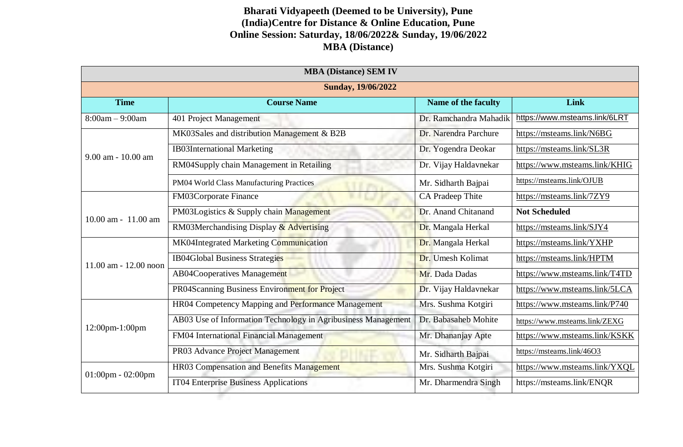## **Bharati Vidyapeeth (Deemed to be University), Pune (India)Centre for Distance & Online Education, Pune Online Session: Saturday, 18/06/2022& Sunday, 19/06/2022 MBA (Distance)**

|                           |                                                               |                         | <b>MBA (Distance) SEM IV</b>  |  |  |  |  |
|---------------------------|---------------------------------------------------------------|-------------------------|-------------------------------|--|--|--|--|
| <b>Sunday, 19/06/2022</b> |                                                               |                         |                               |  |  |  |  |
| <b>Time</b>               | <b>Course Name</b>                                            | Name of the faculty     | Link                          |  |  |  |  |
| $8:00am - 9:00am$         | 401 Project Management                                        | Dr. Ramchandra Mahadik  | https://www.msteams.link/6LRT |  |  |  |  |
|                           | MK03Sales and distribution Management & B2B                   | Dr. Narendra Parchure   | https://msteams.link/N6BG     |  |  |  |  |
| $9.00$ am - 10.00 am      | <b>IB03International Marketing</b>                            | Dr. Yogendra Deokar     | https://msteams.link/SL3R     |  |  |  |  |
|                           | RM04Supply chain Management in Retailing                      | Dr. Vijay Haldavnekar   | https://www.msteams.link/KHIG |  |  |  |  |
|                           | PM04 World Class Manufacturing Practices                      | Mr. Sidharth Bajpai     | https://msteams.link/OJUB     |  |  |  |  |
|                           | FM03Corporate Finance                                         | <b>CA Pradeep Thite</b> | https://msteams.link/7ZY9     |  |  |  |  |
| $10.00$ am - $11.00$ am   | PM03Logistics & Supply chain Management                       | Dr. Anand Chitanand     | <b>Not Scheduled</b>          |  |  |  |  |
|                           | RM03Merchandising Display & Advertising                       | Dr. Mangala Herkal      | https://msteams.link/SJY4     |  |  |  |  |
|                           | MK04Integrated Marketing Communication                        | Dr. Mangala Herkal      | https://msteams.link/YXHP     |  |  |  |  |
| $11.00$ am $- 12.00$ noon | <b>IB04Global Business Strategies</b>                         | Dr. Umesh Kolimat       | https://msteams.link/HPTM     |  |  |  |  |
|                           | <b>AB04Cooperatives Management</b>                            | Mr. Dada Dadas          | https://www.msteams.link/T4TD |  |  |  |  |
|                           | PR04Scanning Business Environment for Project                 | Dr. Vijay Haldavnekar   | https://www.msteams.link/5LCA |  |  |  |  |
|                           | HR04 Competency Mapping and Performance Management            | Mrs. Sushma Kotgiri     | https://www.msteams.link/P740 |  |  |  |  |
| 12:00pm-1:00pm            | AB03 Use of Information Technology in Agribusiness Management | Dr. Babasaheb Mohite    | https://www.msteams.link/ZEXG |  |  |  |  |
|                           | FM04 International Financial Management                       | Mr. Dhananjay Apte      | https://www.msteams.link/KSKK |  |  |  |  |
|                           | PR03 Advance Project Management                               | Mr. Sidharth Bajpai     | https://msteams.link/46O3     |  |  |  |  |
| $01:00$ pm - $02:00$ pm   | <b>HR03 Compensation and Benefits Management</b>              | Mrs. Sushma Kotgiri     | https://www.msteams.link/YXQL |  |  |  |  |
|                           | IT04 Enterprise Business Applications                         | Mr. Dharmendra Singh    | https://msteams.link/ENQR     |  |  |  |  |